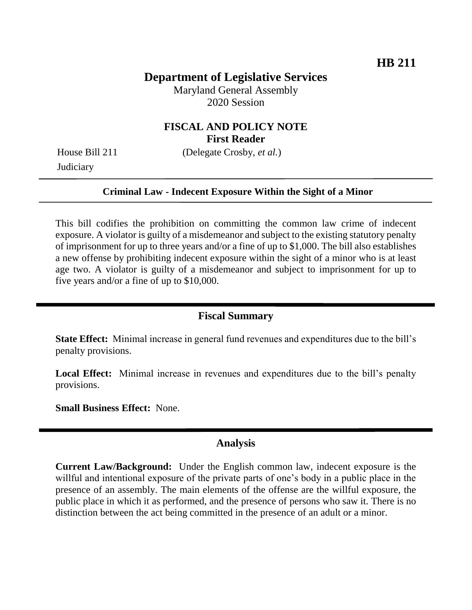# **Department of Legislative Services**

Maryland General Assembly 2020 Session

## **FISCAL AND POLICY NOTE First Reader**

**Judiciary** 

House Bill 211 (Delegate Crosby, *et al.*)

#### **Criminal Law - Indecent Exposure Within the Sight of a Minor**

This bill codifies the prohibition on committing the common law crime of indecent exposure. A violator is guilty of a misdemeanor and subject to the existing statutory penalty of imprisonment for up to three years and/or a fine of up to \$1,000. The bill also establishes a new offense by prohibiting indecent exposure within the sight of a minor who is at least age two. A violator is guilty of a misdemeanor and subject to imprisonment for up to five years and/or a fine of up to \$10,000.

## **Fiscal Summary**

**State Effect:** Minimal increase in general fund revenues and expenditures due to the bill's penalty provisions.

Local Effect: Minimal increase in revenues and expenditures due to the bill's penalty provisions.

**Small Business Effect:** None.

### **Analysis**

**Current Law/Background:** Under the English common law, indecent exposure is the willful and intentional exposure of the private parts of one's body in a public place in the presence of an assembly. The main elements of the offense are the willful exposure, the public place in which it as performed, and the presence of persons who saw it. There is no distinction between the act being committed in the presence of an adult or a minor.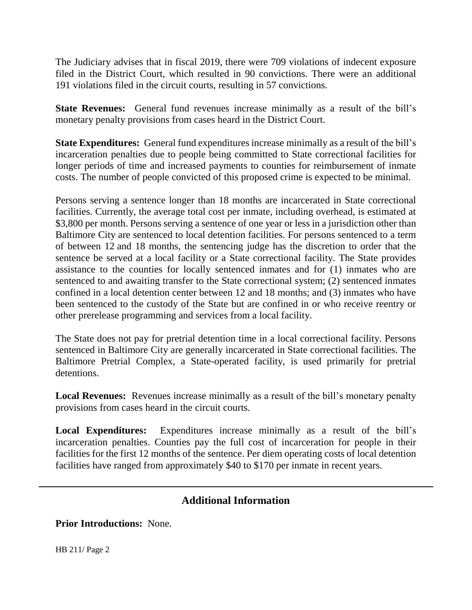The Judiciary advises that in fiscal 2019, there were 709 violations of indecent exposure filed in the District Court, which resulted in 90 convictions. There were an additional 191 violations filed in the circuit courts, resulting in 57 convictions.

**State Revenues:** General fund revenues increase minimally as a result of the bill's monetary penalty provisions from cases heard in the District Court.

**State Expenditures:** General fund expenditures increase minimally as a result of the bill's incarceration penalties due to people being committed to State correctional facilities for longer periods of time and increased payments to counties for reimbursement of inmate costs. The number of people convicted of this proposed crime is expected to be minimal.

Persons serving a sentence longer than 18 months are incarcerated in State correctional facilities. Currently, the average total cost per inmate, including overhead, is estimated at \$3,800 per month. Persons serving a sentence of one year or less in a jurisdiction other than Baltimore City are sentenced to local detention facilities. For persons sentenced to a term of between 12 and 18 months, the sentencing judge has the discretion to order that the sentence be served at a local facility or a State correctional facility. The State provides assistance to the counties for locally sentenced inmates and for (1) inmates who are sentenced to and awaiting transfer to the State correctional system; (2) sentenced inmates confined in a local detention center between 12 and 18 months; and (3) inmates who have been sentenced to the custody of the State but are confined in or who receive reentry or other prerelease programming and services from a local facility.

The State does not pay for pretrial detention time in a local correctional facility. Persons sentenced in Baltimore City are generally incarcerated in State correctional facilities. The Baltimore Pretrial Complex, a State-operated facility, is used primarily for pretrial detentions.

**Local Revenues:** Revenues increase minimally as a result of the bill's monetary penalty provisions from cases heard in the circuit courts.

**Local Expenditures:** Expenditures increase minimally as a result of the bill's incarceration penalties. Counties pay the full cost of incarceration for people in their facilities for the first 12 months of the sentence. Per diem operating costs of local detention facilities have ranged from approximately \$40 to \$170 per inmate in recent years.

## **Additional Information**

**Prior Introductions:** None.